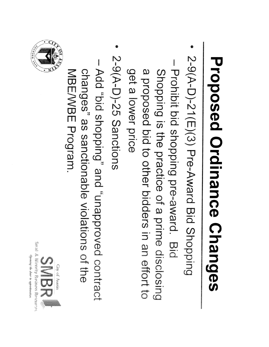## Proposed Ordinance Changes

- 2-9(AD)21(E)(3) PreAward ー<br>こ Shopping
- **Prohibition** d<br>Di shopping pre-award t<br>Di Shopping ້ຫໍ the<br>co<br>Co practice  $\Omega_{\!\scriptscriptstyle\! h}$  $\Omega$ prime disclosing a proposed d<br>Di  $\overline{\mathsf{C}}$ O<br>Dipo<br>P bidders in i an o<br>Dipole  $\overline{\mathbb{C}}$ က<br>၁<br>၁  $\Omega$ lower<br>Ro price<br>Si
- 2-9(A-D)-25 Sanctions 2-9(A-D)-25 Sanctions
- Add<br>D<br>O bi<br>Di shopping" g<br>2<br>2 papprovedbrug contract changes" ည<br>က sanctionable violations  $\Omega$ the<br>co NBE/NBE MBE/WBE Program.



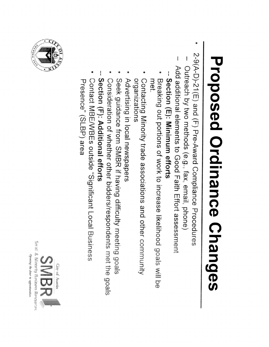## Proposed Ordinance Changes

- 2-9(AD)21(E) e<br>Jo  $\widehat{\mathbb{F}}$ Pre-Award Compliance Procedures
- Outreach  $\overline{C}$  $\vec{z}$ methods (e.g., fax, email, phone)
- Add additional elements  $\vec{\circ}$ Good Ta<br>三<br>三 m<br>Sig<br>1 assessment
- Section<br>Section  $\widehat{\mathbb{E}}$ Minimum efforts
- **Net** bleaking out portions of work to increase likelihood goals will be<br>met.<br>met. Breaking  $\Xi$ portions  $\mathbf{Q}_n$ work  $\vec{\circ}$ increase likelihood goals  $\leq$
- Contacting Minority trade<br>O associations م<br>ما<br>ا other<br>Der contacting Mihority trade associations and other community<br>organizations
- Advertising inner<br>Ö local<br>Co newspapers
- Seek<br>Seek guidance from<br>E SMB<br>DRB<br>DRB ima<br>imaĝoj having difficulty meeting goals
- Consideration  $\Omega_{\!n}$ whether other bidders/respondents met<br>M the<br>Theory<br>M goats
- Section<br>Section (F): **Additional** e<br>ココカ
- Contact **MBE/MBEs** outside "Significant Local<br>Docal **CUSINES** Presence" (SLBP)  $\frac{\omega}{\bar{\omega}}$



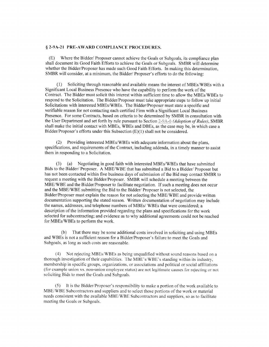## § 2-9A-21 PRE-AWARD COMPLIANCE PROCEDURES.

(E) Where the Bidder/ Proposer cannot achieve the Goals or Subgoals. its compliance plan shall document its Good Faith Efforts to achieve the Goals or Subgoals. SMBR will determine whether the Bidder/Proposer has made such Good Faith Efforts. In making this determination, SMBR will consider, at a minimum, the Bidder/ Proposer's efforts to do the following:

(1) Soliciting through reasonable and available means the interest of MBEs/WBEs with a Significant Local Business Presence who have the capability to perform the work of the Contract. The Bidder must solicit this interest within sufficient time to allow the MBEs/WBEs to respond to the Solicitation. The Bidder/Proposer must take appropriate steps to follow up initial Solicitations with interested MBEs/WBEs. The Bidder/Proposer must state a specific and verifiable reason for not contacting each certified Firm with a Significant Local Business Presence. For some Contracts, based on criteria to be determined by SMBR in consultation with the User Department and set forth by rule pursuant to Section 2-9A-6 (Adoption of Rules), SMBR shall make the initial contact with MBEs, WBEs and DBEs, as the case may be. in which case a Bidder/Proposer's efforts under this Subsection (E)(l) shall not be considered.

(2) Providing interested MBEs/WBEs with adequate information about the plans, specifications, and requirements of the Contract, including addenda, in a timely manner to assist them in responding to a Solicitation.

(3) (a) Negotiating in good faith with interested MBEs/WBEs that have submitted Bids to the Bidder/ Proposer. A MBE/WBE that has submitted a Bid to a Bidder/ Proposer but has not been contacted within five business days of submission of the Bid may contact SMBR to request a meeting with the Bidder/Proposer. SMBR will schedule a meeting between the MBE/WBE and the Bidder/Proposer to facilitate negotiation. If such a meeting does not occur and the MBE/WBE submitting the Bid to the Bidder/ Proposer is not selected, the Bidder/Proposer must explain the reason for not selecting the MBE/WBE and provide written documentation supporting the stated reason. Written documentation of negotiation may include the names, addresses, and telephone numbers of MBEs/ WBEs that were considered; a description of the information provided regarding the plans and specifications for the work selected for subcontracting; and evidence as to why additional agreements could not be reached for MBEs/WBEs to perform the work.

(b) That there may be some additional costs involved in soliciting and using MBEs and WBEs is not a sufficient reason for a Bidder/Proposer's failure to meet the Goals and Subgoals, as long as such costs are reasonable.

(4) Not rejecting MBEs/WBEs as being unqualified without sound reasons based on a thorough investigation of their capabilities. The MBE's/WBE's standing within its industry, membership in specific groups, organizations, or associations and political or social affiliations (for example union vs. non—union employee status) are not legitimate causes for rejecting or not soliciting Bids to meet the Goals and Subgoals.

(5) It is the BidderProposer's responsibility to make a portion of the work available to MBE/WBE Subcontractors and suppliers and to select those portions of the work or material needs consistent with the available MBE/WBE Subcontractors and suppliers, so as to facilitate meeting the Goals or Subgoals.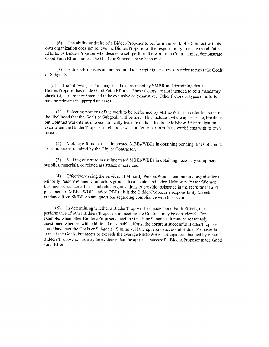(6) The ability or desire of <sup>a</sup> Bidder/Proposer to perform the work of a Contract with its own organization does not relieve the Bidder/Proposer of the responsibility to make Good Faith Efforts. A Bidder/Proposer who desires to self perform the work of a Contract must demonstrate Good Faith Efforts unless the Goals or Subgoals have been met.

(7) Bidders/Proposers are not required to accept higher quotes in order to meet the Goals or Subgoals.

(F) The following factors may also be considered by SMBR in determining that a Bidder/Proposer has made Good Faith Efforts. These factors are not intended to be <sup>a</sup> mandatory checklist, nor are they intended to be exclusive or exhaustive. Other factors or types of efforts may be relevant in appropriate cases:

(1) Selecting portions of the work to be performed by MBEs/WBEs in order to increase the likelihood that the Goals or Subgoals will be met. This includes, where appropriate, breaking out Contract work items into economically feasible units to facilitate MBE/WBE participation, even when the Bidder/Proposer might otherwise prefer to perform these work items with its own forces.

(2) Making efforts to assist interested MBEs/WBEs in obtaining bonding, lines of credit, or insurance as required by the City or Contractor.

(3) Making efforts to assist interested MBEs/WBEs in obtaining necessary equipment, supplies, materials, or related assistance or services.

(4) Effectively using the services of Minority Person/Women community organizations; Minority Person/Women Contractors groups; local, state, and federal Minority Person/Women business assistance offices: and other organizations to provide assistance in the recruitment and placement of MBEs, WREs and/or DBEs. It is the Bidder/Proposer's responsibility to seek guidance from SMBR on any questions regarding compliance with this section.

(5) In determining whether a Bidder/Proposer has made Good Faith Efforts, the performance of other Bidders/Proposers in meeting the Contract may be considered. For example, when other Bidders/Proposers meet the Goals or Subgoals, it may be reasonably questioned whether, with additional reasonable efforts. the apparent successful Bidder/Proposer could have met the Goals or Subgoals. Similarly, if the apparent successful Bidder/Proposer fails to meet the Goals, but meets or exceeds the average MBE/WBE participation obtained by other Bidders Proposers. this may be evidence that the apparent successful Bidder:Proposer made Good Faith Efforts.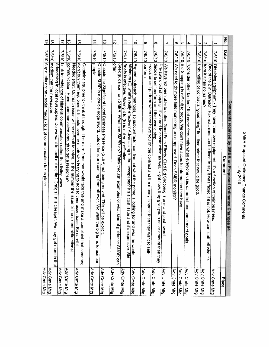|                |        | Comments received by SMBR on Proposed Ordinance Changes #4                                                                                                                                                      |                              |
|----------------|--------|-----------------------------------------------------------------------------------------------------------------------------------------------------------------------------------------------------------------|------------------------------|
| No.            | Date   | Comment                                                                                                                                                                                                         | Place                        |
| $\overline{a}$ |        | 7/6/10 Obtaining equipment - They have their own equipment. It's a function of their business                                                                                                                   | Adv Cmte Mtg                 |
| N              |        | 7/6/10 from if it has no names?<br>One of the 2 in Outreach. Fax machines can be fixed to say it was faxed if it is not. How can<br>staff tell who it's                                                         | Adv Cmte Mtg                 |
| ω              |        | 7/6/10 Unbundling of contracts "good thing" first time prime that would be good                                                                                                                                 | Adv Cmte Mtg                 |
| 4              |        | $76/10$ "Consider other bidders" that come frequently when everyone uses same list and some meet goals                                                                                                          |                              |
| c              |        | $7/6/10$ Bid Shopping is difficult to prove. We don't have acces to information they have                                                                                                                       | Adv Cmte Mtg<br>Adv Cmte Mtg |
| თ              |        | 7/6/10 We need to do more field monitoring once approved. Does SMBR monitor?                                                                                                                                    | Adv Cmte Mtg                 |
| ┙              |        | 7/6/10 We have not been able to define Good Faith Efforts. Glad Bid Shopping is pre- and post-award.                                                                                                            | Adv Cmte Mtg                 |
| $\infty$       | 7/6/10 | decide to self perform and that would stop.<br>Pre-award bid shopping - if we add to construction as well. Right now, they give you a dollar<br>amount then they                                                | Adv Cmte Mtg                 |
| ဖ              |        | 7/6/10 perform.<br>Focus on self-perform when they have you on the contract and the money is spent then they<br>want to self-                                                                                   | Adv Cmte Mtg                 |
| $\vec{0}$      | 7/6/10 | Expand [outreach methods] so subcontractor can find out what the prime is looking for and w<br>what he wants                                                                                                    | Adv Cmte Mtg                 |
| ⇉              | 7/6/10 | Briefs is effective. Moving it to (E) is not very effective<br>Minimum (E) what's really effective? Adverstising in the newspaper? It's a cost issue and it's<br>expensive. Bid                                 |                              |
| $\vec{v}$      | 7/6/10 | offer.<br>Seek guidance from SMBR. What can SMBR do? Think through examples of what kind of gu<br>diance SMBR can                                                                                               | Adv Cmte Mtg<br>Adv Cmte Mtg |
| ದ              | 7/6/10 | Outside the Significant Local Business Presence (SLBP) not being moved. This will be explicit.                                                                                                                  | Adv Cmte Mtg                 |
| 14             | 7/6/10 | people<br>Outside<br>SLBP is a double edge sword. Lots of firms are coming from all over. We want the big firms to use our                                                                                      | Adv Cmte Mtg                 |
| $\vec{q}$      | 7/6/10 | didn't buy them equipment. It could even be a sub who is trying to add to their asset base. B<br>Obtaining equipment - think it through. There are firms that would take this and make a complaint that someone |                              |
| $\vec{0}$      | 7/6/10 | communication. Have I communicated enough to get a response?<br>Needed effort. Outreach issue will be difficult to solve. Is the number the issue or the extent I<br>pidirectional<br>e careful.                | Adv Cmte Mtg<br>Adv Cmte Mtg |
| $\vec{v}$      |        | 7/6/10 Look for evidence of bilateral communication rather than listing ways                                                                                                                                    | Adv Cmte Mtg                 |
| $\vec{\infty}$ |        | 7/6/10 medium that the newspaper<br>Advertising in local newspapers. Do we want to spell out media? Craig's list is cheaper. We may get more in tha                                                             | Adv Cmte Mtg                 |
| $\vec{6}$      |        | 7/6/10 Any media online - social media - lots of communication takes place.                                                                                                                                     | Adv Cmte Mtg                 |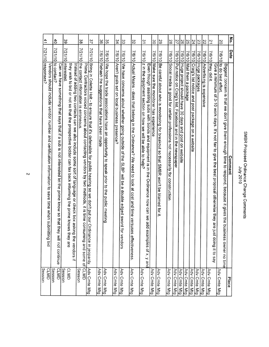| Al Az Aine<br>:<br>כל | ミロスロー<br>Proposed Ordinance<br>ر<br>ڏ<br>change Comments |
|-----------------------|----------------------------------------------------------|
|                       |                                                          |

| 41                                                                                                                          | 40                                                                                                                                  | ပ္ပ                                                                                                                                                                                                                                        | ပ္စ                                                                                                                                                      | 37                                                                                                                   | ပ္တ                                        | ပ္ပ                                                                                            | 34                                           | ς                                                                                                           | $\frac{8}{2}$                                                                                                           | $\tilde{\mathbf{z}}$                                                                                                                                                            | ဗွ                                     | 29                                                                                   | 28                                                                            | 22                                                        | 92                                                      | SS                         | 24                                                       | Σ                    | 22                              | $\overline{2}$                                                                                                                    | δ                 |                                                                                                                           | $\sum_{i=1}^{n}$ |
|-----------------------------------------------------------------------------------------------------------------------------|-------------------------------------------------------------------------------------------------------------------------------------|--------------------------------------------------------------------------------------------------------------------------------------------------------------------------------------------------------------------------------------------|----------------------------------------------------------------------------------------------------------------------------------------------------------|----------------------------------------------------------------------------------------------------------------------|--------------------------------------------|------------------------------------------------------------------------------------------------|----------------------------------------------|-------------------------------------------------------------------------------------------------------------|-------------------------------------------------------------------------------------------------------------------------|---------------------------------------------------------------------------------------------------------------------------------------------------------------------------------|----------------------------------------|--------------------------------------------------------------------------------------|-------------------------------------------------------------------------------|-----------------------------------------------------------|---------------------------------------------------------|----------------------------|----------------------------------------------------------|----------------------|---------------------------------|-----------------------------------------------------------------------------------------------------------------------------------|-------------------|---------------------------------------------------------------------------------------------------------------------------|------------------|
|                                                                                                                             | 7/21/10                                                                                                                             | 7/21/10                                                                                                                                                                                                                                    | 01/17/2                                                                                                                                                  | 7/21/10                                                                                                              | 7/6/10                                     |                                                                                                | 7/6/10                                       |                                                                                                             |                                                                                                                         | 7/6/10                                                                                                                                                                          | 7/6/10                                 | 7/6/10                                                                               | 7/6/10                                                                        | 7/6/10                                                    | 7/6/10                                                  |                            |                                                          |                      |                                 | 7/6/10                                                                                                                            | 7/6/10            |                                                                                                                           | Date             |
| 7/21/10 responses?<br>Vendors should include vendor number and certification information to save time when subm<br>hing bid | to contact?<br>Can we have<br>something that says that if a sub is not interested let the prime know so that they will not continue | <b>Interested</b><br>they wish to bid or not so that the prospective bidder can fax back informing the prime knows they are<br>Instead of adding two contacts can we also include some sort of language or check box asking the vendors if | the contact information is erroneous<br>Prime Contractors voiced concerns about contacting vendors by two methods, it is time consuming and some of CLMD | Bring in Colette Holt - to ensure that it's defensible for public hearing so we don't put our Ordinance in jeopardy. | Rehash the suggestions that have been made | 7/6/10 We hope the trade associations have an opportunity to speak prior to the public meeting | Aren't goals set on local business presence? | $7$ /6/10 We have concerns about whether going outside of the SLBP will be a double edged sword for vendors | 7/6/10 Actual Means - does that belong in the<br>Ordinance? We need to look at cost and time versus<br>es effectiveness | z in the equipment section on how we will be able to help?<br>Even though assisting subs with bonds and equipment is in the<br>Ordinance now can we add<br>examples of x, y and | Make sure the monitorer has experience | Be careful about who is monitoring for breakout so that SMBR won't be blamed for it. | Social media is good for certain professions not necessarily for construction | Put notice on Craig's list, Facebook and in the newspaper | Huge project should have<br>30 days and post on website | 7/6/10 Mail them a package | 7/6/10 Craig's list notice and post package on a website | 7/6/10 Huge packages | 7/6/10 Advertising is expensive | they did it.<br>Give a minimum of 3-10 work days. It's not fair to give the best proposal otherwise they are just doing it to say | to do best effort | Biggest concern is that we don't give them enough time to respond, because it gives the bus<br><b>Iness owner no time</b> | Comment          |
| Session<br>CLMD                                                                                                             | CLMD<br>Session                                                                                                                     | Session<br>CLMD                                                                                                                                                                                                                            | <b>Gesslon</b>                                                                                                                                           | Adv Cmte Mtg                                                                                                         | Adv Cmte Mtg                               | Adv Cmte Mtg                                                                                   | Adv Cmte Mtg                                 | Adv Cmte Mtg                                                                                                | Adv Cmte Mtg                                                                                                            | Adv Cmte Mtg                                                                                                                                                                    | Adv Cmte Mtg                           | Adv Cmte Mtg                                                                         | Adv Cmte Mtg                                                                  | Adv Cmte Mtg                                              | Adv Cmte Mtg                                            | Adv Cmte Mtg               | Adv Cmte Mtg                                             | Adv Cmte Mtg         | Adv Cmte Mtg                    | Adv Cmte Mtg                                                                                                                      | Adv Cmte Mtg      | Place                                                                                                                     |                  |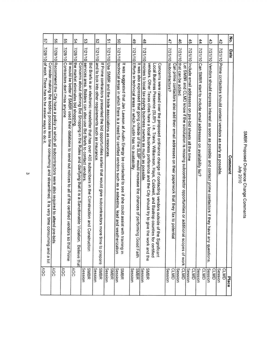|   | 57                                                                                                                                                                     | 99                                                                                                                       | S2                                                                                                                                                | 54                                                                                                                                                                             | ပ္ပ                                                                                                                                                                                       | S<br>2                                                                                                                                                                            | $\tilde{c}$                                              | So                                                                                                                                                                                                                                         | $\frac{4}{9}$                                                                                                                                                                      | $\frac{4}{8}$                                                                                                                                                                                                                                                                                                                                                                                                             | 47                                                                                                                      | $\frac{4}{6}$                                                                                                                       | 45                                                               | 44                                                              | $\frac{4}{3}$                                                                                                          | $\ddot{42}$                                                          | No.            |
|---|------------------------------------------------------------------------------------------------------------------------------------------------------------------------|--------------------------------------------------------------------------------------------------------------------------|---------------------------------------------------------------------------------------------------------------------------------------------------|--------------------------------------------------------------------------------------------------------------------------------------------------------------------------------|-------------------------------------------------------------------------------------------------------------------------------------------------------------------------------------------|-----------------------------------------------------------------------------------------------------------------------------------------------------------------------------------|----------------------------------------------------------|--------------------------------------------------------------------------------------------------------------------------------------------------------------------------------------------------------------------------------------------|------------------------------------------------------------------------------------------------------------------------------------------------------------------------------------|---------------------------------------------------------------------------------------------------------------------------------------------------------------------------------------------------------------------------------------------------------------------------------------------------------------------------------------------------------------------------------------------------------------------------|-------------------------------------------------------------------------------------------------------------------------|-------------------------------------------------------------------------------------------------------------------------------------|------------------------------------------------------------------|-----------------------------------------------------------------|------------------------------------------------------------------------------------------------------------------------|----------------------------------------------------------------------|----------------|
|   |                                                                                                                                                                        |                                                                                                                          | 7/28/10                                                                                                                                           |                                                                                                                                                                                |                                                                                                                                                                                           |                                                                                                                                                                                   |                                                          |                                                                                                                                                                                                                                            |                                                                                                                                                                                    |                                                                                                                                                                                                                                                                                                                                                                                                                           | 7/21/10                                                                                                                 | 7/21/10                                                                                                                             |                                                                  | 7/21/10                                                         |                                                                                                                        |                                                                      | Date           |
| ω | 7/28/10 of work. There has to be easier ways to do it.<br>Consider making the bidding process less time consuming and streamlined. It is very time consuming and a lot | 7/28/10 Recommend the City have a policy in which all subcontractors were also required to attend pre-bids<br><b>AGC</b> | Contractors don't miss anyone<br>It would be better if SMBR used their database to send out notices to all of the certified vendors so that Prime | 7/28/10 the market eliminates bid shopping<br>Concerns about defining Bid Shopping in the Rules and clarifying that it is a Sanctionable Vi<br>olation.<br><b>Believe that</b> | 7/21/10 services area. Bidders can also use Bid Briefs to contact vendors<br>Bid Briefs is an electronic newsletter that has over 400 subscribers in the<br>Construction and Construction | 7/21/10 and to look into other requirements such as insurance<br>If Prime contractors presented the bid opportunities earlier that would give subcontractors more time to prepare | 7/21/10 Use SMBR and the trade associations as resources | 7/21/10 lechnical areas in which there is a need for certified vendors such as a asbestos, lead and w<br>It was suggested that Jan Lawson at Austin Energy be contacted to see if she could assist w<br>/eatherization<br>vith training in | 7/21/10 Efforts in technical areas in which Austin has no availability<br>It was also expressed that going outside of the SLBP would increase the chances of performing Good Faith | 7/21/10 monies to local tax-paying business owners as much as possible<br>vendors. Other Texas cities have a local business preference and the City should try to give<br>Concerns were raised over the proposed ordinance change of contacting vendors outside of<br>Local Business Presence (SLBP) i.e. Travis, Williamson, Hays, Caldwell, and Bastrop counties for certified<br>f the Significant<br>the work and the | subcontractors?<br>Can prime<br>contactors also add their email addresses on their paperwork that they fax to potential | that can be added<br>et SMBR and CLMD know if the solicitation is missing subcontractor opportunities or additional scopes of work- | 7/21/10   Include email addresses on pre-bid sheets all the time | Can SMBR start to include email addresses on availability list? | $7/21/10$ Vendors should express interest as soon as possible and contact prime contactors if they have any questions. | 7/21/10 Prime contactors should contact vendors as early as possible | <b>Comment</b> |
|   | AGC                                                                                                                                                                    |                                                                                                                          | <b>AGC</b>                                                                                                                                        | AGC                                                                                                                                                                            | <b>Session</b><br>SMBR                                                                                                                                                                    | <b>SMBR</b><br>Session                                                                                                                                                            | <b>Session</b><br>SMBR                                   | Session<br>SMBR                                                                                                                                                                                                                            | Session<br>SMBR                                                                                                                                                                    | SMBR<br>Session                                                                                                                                                                                                                                                                                                                                                                                                           | Session<br>CLMD                                                                                                         | CLMD<br>Session                                                                                                                     | Session<br>CLMD                                                  | Session<br>CLMD                                                 | Session<br>CLMD                                                                                                        | Session<br>CLMD                                                      | Place          |